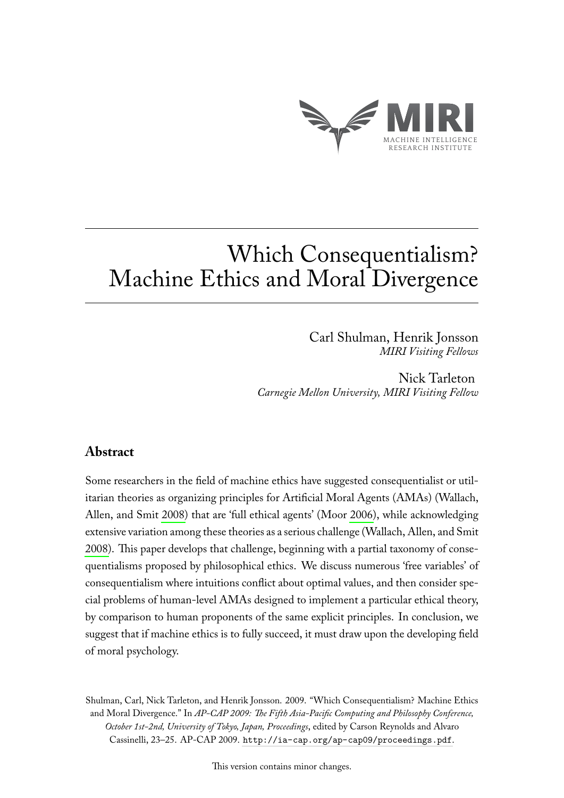

# Which Consequentialism? Machine Ethics and Moral Divergence

Carl Shulman, Henrik Jonsson *MIRI Visiting Fellows*

Nick Tarleton *Carnegie Mellon University, MIRI Visiting Fellow*

# **Abstract**

Some researchers in the field of machine ethics have suggested consequentialist or utilitarian theories as organizing principles for Artificial Moral Agents (AMAs) (Wallach, Allen, and Smit [2008\)](#page-5-0) that are 'full ethical agents' (Moor [2006\)](#page-4-0), while acknowledging extensive variation among these theories as a serious challenge (Wallach, Allen, and Smit [2008\)](#page-5-0). This paper develops that challenge, beginning with a partial taxonomy of consequentialisms proposed by philosophical ethics. We discuss numerous 'free variables' of consequentialism where intuitions conflict about optimal values, and then consider special problems of human-level AMAs designed to implement a particular ethical theory, by comparison to human proponents of the same explicit principles. In conclusion, we suggest that if machine ethics is to fully succeed, it must draw upon the developing field of moral psychology.

Shulman, Carl, Nick Tarleton, and Henrik Jonsson. 2009. "Which Consequentialism? Machine Ethics and Moral Divergence." In *AP-CAP 2009: The Fifth Asia-Pacific Computing and Philosophy Conference, October 1st-2nd, University of Tokyo, Japan, Proceedings*, edited by Carson Reynolds and Alvaro Cassinelli, 23–25. AP-CAP 2009. <http://ia-cap.org/ap-cap09/proceedings.pdf>.

This version contains minor changes.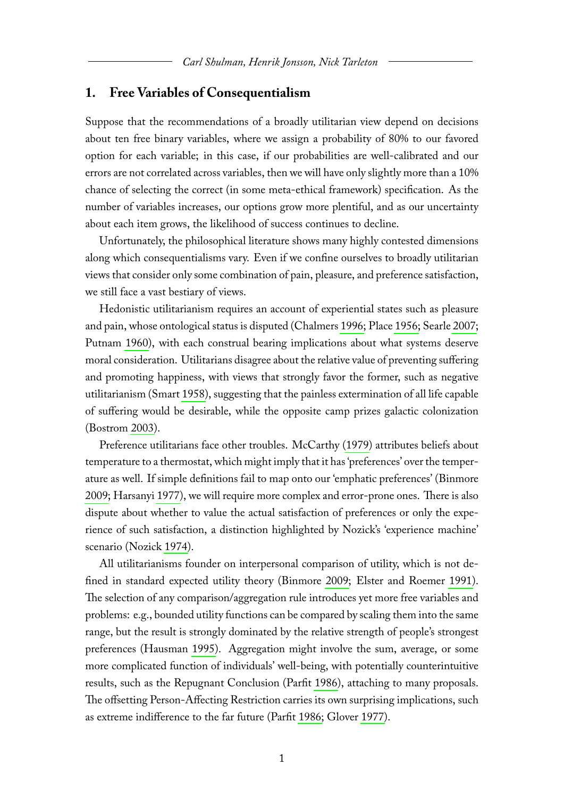#### **1. Free Variables of Consequentialism**

Suppose that the recommendations of a broadly utilitarian view depend on decisions about ten free binary variables, where we assign a probability of 80% to our favored option for each variable; in this case, if our probabilities are well-calibrated and our errors are not correlated across variables, then we will have only slightly more than a 10% chance of selecting the correct (in some meta-ethical framework) specification. As the number of variables increases, our options grow more plentiful, and as our uncertainty about each item grows, the likelihood of success continues to decline.

Unfortunately, the philosophical literature shows many highly contested dimensions along which consequentialisms vary. Even if we confine ourselves to broadly utilitarian views that consider only some combination of pain, pleasure, and preference satisfaction, we still face a vast bestiary of views.

Hedonistic utilitarianism requires an account of experiential states such as pleasure and pain, whose ontological status is disputed (Chalmers [1996;](#page-4-1) Place [1956;](#page-5-1) Searle [2007;](#page-5-2) Putnam [1960\)](#page-5-3), with each construal bearing implications about what systems deserve moral consideration. Utilitarians disagree about the relative value of preventing suffering and promoting happiness, with views that strongly favor the former, such as negative utilitarianism (Smart [1958\)](#page-5-4), suggesting that the painless extermination of all life capable of suffering would be desirable, while the opposite camp prizes galactic colonization (Bostrom [2003\)](#page-4-2).

Preference utilitarians face other troubles. McCarthy [\(1979\)](#page-4-3) attributes beliefs about temperature to a thermostat, which might imply that it has 'preferences' over the temperature as well. If simple definitions fail to map onto our 'emphatic preferences' (Binmore [2009;](#page-4-4) Harsanyi [1977\)](#page-4-5), we will require more complex and error-prone ones. There is also dispute about whether to value the actual satisfaction of preferences or only the experience of such satisfaction, a distinction highlighted by Nozick's 'experience machine' scenario (Nozick [1974\)](#page-4-6).

All utilitarianisms founder on interpersonal comparison of utility, which is not defined in standard expected utility theory (Binmore [2009;](#page-4-4) Elster and Roemer [1991\)](#page-4-7). The selection of any comparison/aggregation rule introduces yet more free variables and problems: e.g., bounded utility functions can be compared by scaling them into the same range, but the result is strongly dominated by the relative strength of people's strongest preferences (Hausman [1995\)](#page-4-8). Aggregation might involve the sum, average, or some more complicated function of individuals' well-being, with potentially counterintuitive results, such as the Repugnant Conclusion (Parfit [1986\)](#page-5-5), attaching to many proposals. The offsetting Person-Affecting Restriction carries its own surprising implications, such as extreme indifference to the far future (Parfit [1986;](#page-5-5) Glover [1977\)](#page-4-9).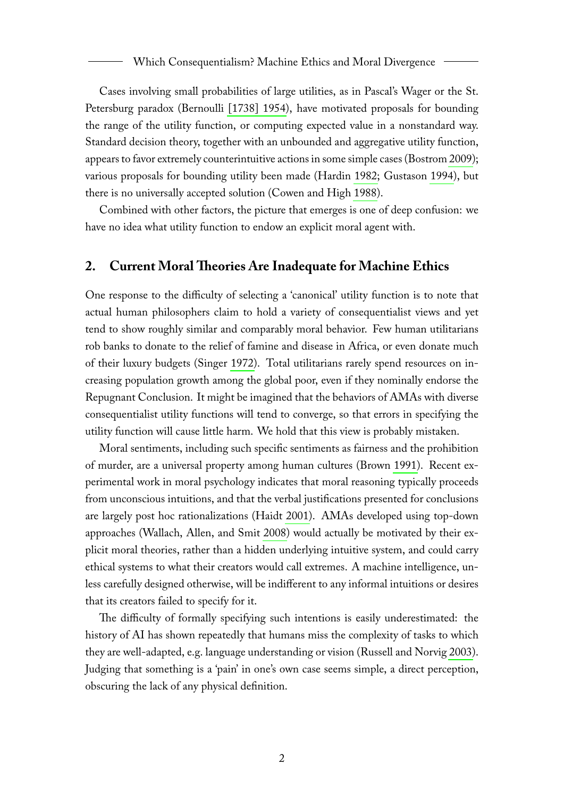Cases involving small probabilities of large utilities, as in Pascal's Wager or the St. Petersburg paradox (Bernoulli [\[1738\] 1954\)](#page-4-10), have motivated proposals for bounding the range of the utility function, or computing expected value in a nonstandard way. Standard decision theory, together with an unbounded and aggregative utility function, appears to favor extremely counterintuitive actions in some simple cases (Bostrom [2009\)](#page-4-11); various proposals for bounding utility been made (Hardin [1982;](#page-4-12) Gustason [1994\)](#page-4-13), but there is no universally accepted solution (Cowen and High [1988\)](#page-4-14).

Combined with other factors, the picture that emerges is one of deep confusion: we have no idea what utility function to endow an explicit moral agent with.

## **2. Current Moral Theories Are Inadequate for Machine Ethics**

One response to the difficulty of selecting a 'canonical' utility function is to note that actual human philosophers claim to hold a variety of consequentialist views and yet tend to show roughly similar and comparably moral behavior. Few human utilitarians rob banks to donate to the relief of famine and disease in Africa, or even donate much of their luxury budgets (Singer [1972\)](#page-5-6). Total utilitarians rarely spend resources on increasing population growth among the global poor, even if they nominally endorse the Repugnant Conclusion. It might be imagined that the behaviors of AMAs with diverse consequentialist utility functions will tend to converge, so that errors in specifying the utility function will cause little harm. We hold that this view is probably mistaken.

Moral sentiments, including such specific sentiments as fairness and the prohibition of murder, are a universal property among human cultures (Brown [1991\)](#page-4-15). Recent experimental work in moral psychology indicates that moral reasoning typically proceeds from unconscious intuitions, and that the verbal justifications presented for conclusions are largely post hoc rationalizations (Haidt [2001\)](#page-4-16). AMAs developed using top-down approaches (Wallach, Allen, and Smit [2008\)](#page-5-0) would actually be motivated by their explicit moral theories, rather than a hidden underlying intuitive system, and could carry ethical systems to what their creators would call extremes. A machine intelligence, unless carefully designed otherwise, will be indifferent to any informal intuitions or desires that its creators failed to specify for it.

The difficulty of formally specifying such intentions is easily underestimated: the history of AI has shown repeatedly that humans miss the complexity of tasks to which they are well-adapted, e.g. language understanding or vision (Russell and Norvig [2003\)](#page-5-7). Judging that something is a 'pain' in one's own case seems simple, a direct perception, obscuring the lack of any physical definition.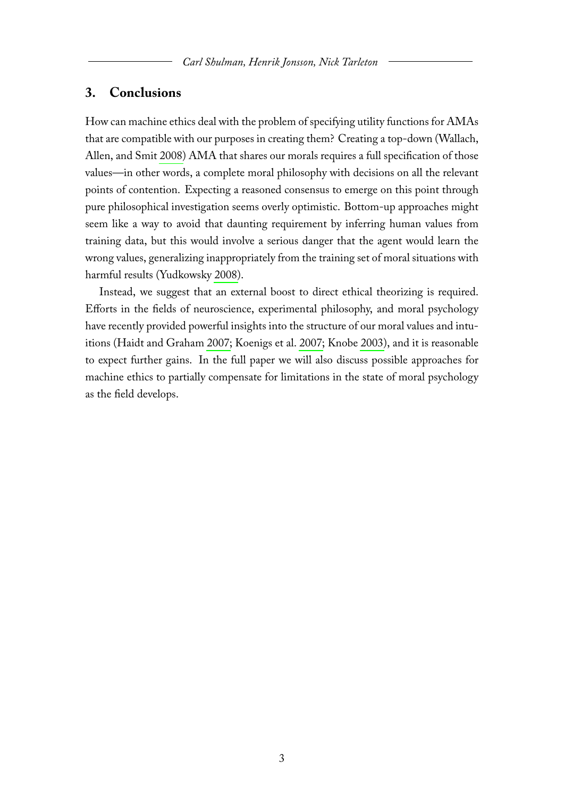#### **3. Conclusions**

How can machine ethics deal with the problem of specifying utility functions for AMAs that are compatible with our purposes in creating them? Creating a top-down (Wallach, Allen, and Smit [2008\)](#page-5-0) AMA that shares our morals requires a full specification of those values—in other words, a complete moral philosophy with decisions on all the relevant points of contention. Expecting a reasoned consensus to emerge on this point through pure philosophical investigation seems overly optimistic. Bottom-up approaches might seem like a way to avoid that daunting requirement by inferring human values from training data, but this would involve a serious danger that the agent would learn the wrong values, generalizing inappropriately from the training set of moral situations with harmful results (Yudkowsky [2008\)](#page-5-8).

Instead, we suggest that an external boost to direct ethical theorizing is required. Efforts in the fields of neuroscience, experimental philosophy, and moral psychology have recently provided powerful insights into the structure of our moral values and intuitions (Haidt and Graham [2007;](#page-4-17) Koenigs et al. [2007;](#page-4-18) Knobe [2003\)](#page-4-19), and it is reasonable to expect further gains. In the full paper we will also discuss possible approaches for machine ethics to partially compensate for limitations in the state of moral psychology as the field develops.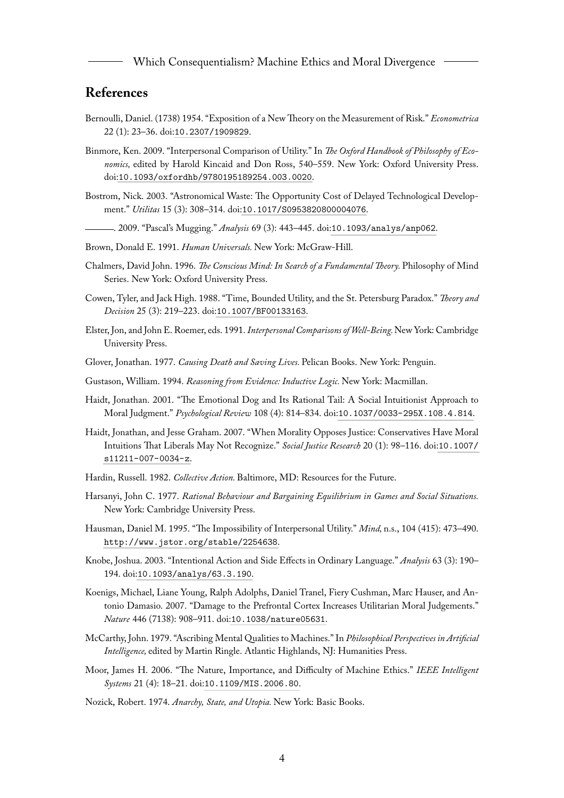### **References**

- <span id="page-4-10"></span>Bernoulli, Daniel. (1738) 1954. "Exposition of a New Theory on the Measurement of Risk." *Econometrica* 22 (1): 23–36. doi:[10.2307/1909829](http://dx.doi.org/10.2307/1909829).
- <span id="page-4-4"></span>Binmore, Ken. 2009. "Interpersonal Comparison of Utility." In *The Oxford Handbook of Philosophy of Economics,* edited by Harold Kincaid and Don Ross, 540–559. New York: Oxford University Press. doi:[10.1093/oxfordhb/9780195189254.003.0020](http://dx.doi.org/10.1093/oxfordhb/9780195189254.003.0020).
- <span id="page-4-2"></span>Bostrom, Nick. 2003. "Astronomical Waste: The Opportunity Cost of Delayed Technological Development." *Utilitas* 15 (3): 308–314. doi:[10.1017/S0953820800004076](http://dx.doi.org/10.1017/S0953820800004076).
	- . 2009. "Pascal's Mugging." *Analysis* 69 (3): 443–445. doi:[10.1093/analys/anp062](http://dx.doi.org/10.1093/analys/anp062).
- <span id="page-4-15"></span><span id="page-4-11"></span>Brown, Donald E. 1991. *Human Universals.* New York: McGraw-Hill.
- <span id="page-4-1"></span>Chalmers, David John. 1996. *The Conscious Mind: In Search of a Fundamental Theory.* Philosophy of Mind Series. New York: Oxford University Press.
- <span id="page-4-14"></span>Cowen, Tyler, and Jack High. 1988. "Time, Bounded Utility, and the St. Petersburg Paradox." *Theory and Decision* 25 (3): 219–223. doi:[10.1007/BF00133163](http://dx.doi.org/10.1007/BF00133163).
- <span id="page-4-7"></span>Elster, Jon, and John E. Roemer, eds. 1991. *Interpersonal Comparisons of Well-Being.*New York: Cambridge University Press.
- <span id="page-4-9"></span>Glover, Jonathan. 1977. *Causing Death and Saving Lives.* Pelican Books. New York: Penguin.
- <span id="page-4-13"></span>Gustason, William. 1994. *Reasoning from Evidence: Inductive Logic.* New York: Macmillan.
- <span id="page-4-16"></span>Haidt, Jonathan. 2001. "The Emotional Dog and Its Rational Tail: A Social Intuitionist Approach to Moral Judgment." *Psychological Review* 108 (4): 814–834. doi:[10.1037/0033-295X.108.4.814](http://dx.doi.org/10.1037/0033-295X.108.4.814).
- <span id="page-4-17"></span>Haidt, Jonathan, and Jesse Graham. 2007. "When Morality Opposes Justice: Conservatives Have Moral Intuitions That Liberals May Not Recognize." *Social Justice Research* 20 (1): 98–116. doi:[10.1007/](http://dx.doi.org/10.1007/s11211-007-0034-z) [s11211-007-0034-z](http://dx.doi.org/10.1007/s11211-007-0034-z).
- <span id="page-4-12"></span>Hardin, Russell. 1982. *Collective Action.* Baltimore, MD: Resources for the Future.
- <span id="page-4-5"></span>Harsanyi, John C. 1977. *Rational Behaviour and Bargaining Equilibrium in Games and Social Situations.* New York: Cambridge University Press.
- <span id="page-4-8"></span>Hausman, Daniel M. 1995. "The Impossibility of Interpersonal Utility." *Mind,* n.s., 104 (415): 473–490. <http://www.jstor.org/stable/2254638>.
- <span id="page-4-19"></span>Knobe, Joshua. 2003. "Intentional Action and Side Effects in Ordinary Language." *Analysis* 63 (3): 190– 194. doi:[10.1093/analys/63.3.190](http://dx.doi.org/10.1093/analys/63.3.190).
- <span id="page-4-18"></span>Koenigs, Michael, Liane Young, Ralph Adolphs, Daniel Tranel, Fiery Cushman, Marc Hauser, and Antonio Damasio. 2007. "Damage to the Prefrontal Cortex Increases Utilitarian Moral Judgements." *Nature* 446 (7138): 908–911. doi:[10.1038/nature05631](http://dx.doi.org/10.1038/nature05631).
- <span id="page-4-3"></span>McCarthy, John. 1979. "Ascribing Mental Qualities to Machines." In *Philosophical Perspectives in Artificial Intelligence,* edited by Martin Ringle. Atlantic Highlands, NJ: Humanities Press.
- <span id="page-4-0"></span>Moor, James H. 2006. "The Nature, Importance, and Difficulty of Machine Ethics." *IEEE Intelligent Systems* 21 (4): 18–21. doi:[10.1109/MIS.2006.80](http://dx.doi.org/10.1109/MIS.2006.80).
- <span id="page-4-6"></span>Nozick, Robert. 1974. *Anarchy, State, and Utopia.* New York: Basic Books.